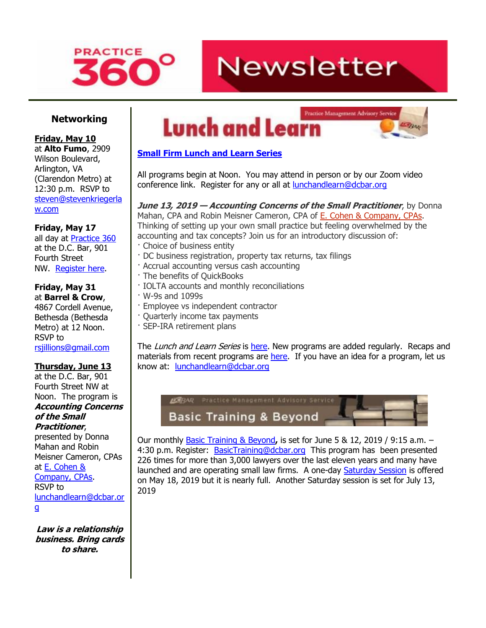

# **Newsletter**

### **Networking**

#### **Friday, May 10**

at **Alto Fumo**, 2909 Wilson Boulevard, Arlington, VA (Clarendon Metro) at 12:30 p.m. RSVP to [steven@stevenkriegerla](mailto:steven@stevenkriegerlaw.com) [w.com](mailto:steven@stevenkriegerlaw.com)

**Friday, May 17**

all day at [Practice 360](http://www.mmsend31.com/link.cfm?r=zvkjaWqFFUTRz65Avl-Ftw~~&pe=z4_Uc376_-1wjcnBorkjFcxdqWHw5l_1F_P3x7yHkTaBwGlsyhALe6Tlej2-cALUAGd7ttrA0nHyj23IfWRmdA~~&t=NPFl0SE74vKb0Y4_KQTVyg~~) at the D.C. Bar, 901 Fourth Street NW. [Register here.](http://www.mmsend31.com/link.cfm?r=zvkjaWqFFUTRz65Avl-Ftw~~&pe=KeuZphaeWR9k6G9y3JLMSRZnbzwIod7U2dbTyh2F4Jv_HLdMwmXnK5AesJ_qozyPg8sXrvubruxZ6dkOmtigtA~~&t=NPFl0SE74vKb0Y4_KQTVyg~~)

#### **Friday, May 31** at **Barrel & Crow**,

4867 Cordell Avenue, Bethesda (Bethesda Metro) at 12 Noon. RSVP to [rsjillions@gmail.com](mailto:rsjillions@gmail.com)

### **Thursday, June 13**

at the D.C. Bar, 901 Fourth Street NW at Noon. The program is **Accounting Concerns of the Small Practitioner**,

presented by Donna Mahan and Robin Meisner Cameron, CPAs at [E. Cohen &](http://www.mmsend31.com/link.cfm?r=zvkjaWqFFUTRz65Avl-Ftw~~&pe=-_qJzBvh3qHsZ5Vu4q1WPqbFlmzRZzY1bGGUuKE6g6FdfVJH9y-CgHxm4TWG-gASRtZ0bEXVJxX4xjBZ-3fVlA~~&t=NPFl0SE74vKb0Y4_KQTVyg~~)  [Company, CPAs.](http://www.mmsend31.com/link.cfm?r=zvkjaWqFFUTRz65Avl-Ftw~~&pe=-_qJzBvh3qHsZ5Vu4q1WPqbFlmzRZzY1bGGUuKE6g6FdfVJH9y-CgHxm4TWG-gASRtZ0bEXVJxX4xjBZ-3fVlA~~&t=NPFl0SE74vKb0Y4_KQTVyg~~) RSVP to [lunchandlearn@dcbar.or](mailto:lunchandlearn@dcbar.org) [g](mailto:lunchandlearn@dcbar.org)

**Law is a relationship business. Bring cards to share.**





### **[Small Firm Lunch](http://www.mmsend31.com/link.cfm?r=zvkjaWqFFUTRz65Avl-Ftw~~&pe=TBtwvDHmuHJWBMRLwNNIXw4awvQUB93yM5_aMQMmLUN4D785OUIf6Bl0OoajOJRjMu1vrrNUjbhLIsnPE8eW9Q~~&t=NPFl0SE74vKb0Y4_KQTVyg~~) and Learn Series**

All programs begin at Noon. You may attend in person or by our Zoom video conference link. Register for any or all at **lunchandlearn@dcbar.org** 

### **June 13, 2019 — Accounting Concerns of the Small Practitioner**, by Donna Mahan, CPA and Robin Meisner Cameron, CPA of E. Cohen & [Company,](http://www.mmsend31.com/link.cfm?r=zvkjaWqFFUTRz65Avl-Ftw~~&pe=CgcWfpvMBDqByqWe4oKyqPEsKy25D4sJuH8lHG0dmKtlCOKa1EomioqyFI4ovk6uDXDpugyERkfZfcouj2TEkw~~&t=NPFl0SE74vKb0Y4_KQTVyg~~) CPAs.

Thinking of setting up your own small practice but feeling overwhelmed by the accounting and tax concepts? Join us for an introductory discussion of:

- · Choice of business entity
- · DC business registration, property tax returns, tax filings
- · Accrual accounting versus cash accounting
- · The benefits of QuickBooks
- · IOLTA accounts and monthly reconciliations
- · W-9s and 1099s
- · Employee vs independent contractor
- · Quarterly income tax payments
- · SEP-IRA retirement plans

The Lunch and Learn Series is [here.](http://www.mmsend31.com/link.cfm?r=zvkjaWqFFUTRz65Avl-Ftw~~&pe=cVXJolUGnV2ySJhoiJ8H1MTLBJYQGJNvcnbq8EUUCs-6dagRytroi-AEUK94KeKmtqnbJ2SthdRelYZqcJgkoA~~&t=NPFl0SE74vKb0Y4_KQTVyg~~) New programs are added regularly. Recaps and materials from recent programs are [here.](http://www.mmsend31.com/link.cfm?r=zvkjaWqFFUTRz65Avl-Ftw~~&pe=rHibTR0zURxaTap16XHhvaMTcxaFmFQ4G4gLmjJAZjThs_iiVgq-FMvnNfgnJ17I5wbAgkFYLFhegagp50KSZg~~&t=NPFl0SE74vKb0Y4_KQTVyg~~) If you have an idea for a program, let us know at: [lunchandlearn@dcbar.org](mailto:lunchandlearn@dcbar.org)



Our monthly [Basic Training & Beyond](http://www.mmsend31.com/link.cfm?r=zvkjaWqFFUTRz65Avl-Ftw~~&pe=_mwDZGMO7o7aigLaFpmDeE-IMOhWlTZh81qG-C5ULrL1m9_UpOztzGROFVo4kwc3kgUv3lfPMmppciLvJAVw7w~~&t=NPFl0SE74vKb0Y4_KQTVyg~~)**,** is set for June 5 & 12, 2019 / 9:15 a.m. – 4:30 p.m. Register: [BasicTraining@dcbar.org](mailto:BasicTraining@dcbar.org) This program has been presented 226 times for more than 3,000 lawyers over the last eleven years and many have launched and are operating small law firms. A one-day [Saturday Session](http://www.mmsend31.com/link.cfm?r=zvkjaWqFFUTRz65Avl-Ftw~~&pe=Kvyncx6S1ZezJPqcGYQ_yYtx0cC7iZ4N2lbcBLddop70RYt4a7fnHjx46hjNmiXfL1jLv0_BECKszOsckP7drw~~&t=NPFl0SE74vKb0Y4_KQTVyg~~) is offered on May 18, 2019 but it is nearly full. Another Saturday session is set for July 13, 2019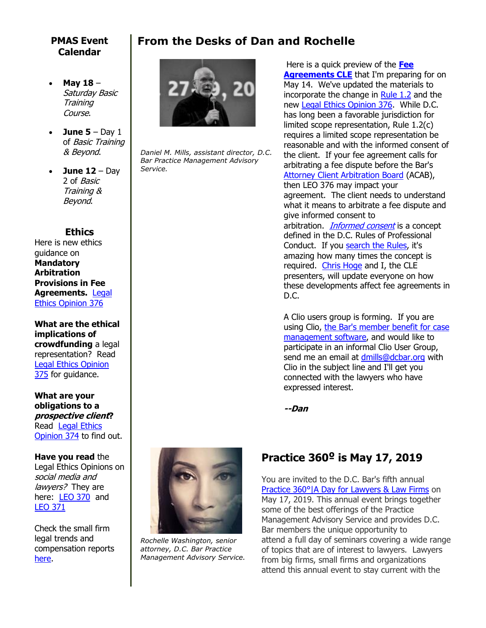### **PMAS Event Calendar**

- **May 18** Saturday Basic Training Course.
- **June**  $5 Day 1$ of Basic Training & Beyond.
- **June 12** Day 2 of Basic Training & Beyond.

### **Ethics**

Here is new ethics guidance on **Mandatory Arbitration Provisions in Fee Agreements.** [Legal](http://www.mmsend31.com/link.cfm?r=zvkjaWqFFUTRz65Avl-Ftw~~&pe=-JmQV1wZ6kvPI4_tIkOYkPhiph_IJ4Xg1ISGHpe5_ydxMsum7qu7ROIoTYM56D5gTBHnOpV9i7rLchfPUxYUdQ~~&t=NPFl0SE74vKb0Y4_KQTVyg~~)  [Ethics Opinion 376](http://www.mmsend31.com/link.cfm?r=zvkjaWqFFUTRz65Avl-Ftw~~&pe=-JmQV1wZ6kvPI4_tIkOYkPhiph_IJ4Xg1ISGHpe5_ydxMsum7qu7ROIoTYM56D5gTBHnOpV9i7rLchfPUxYUdQ~~&t=NPFl0SE74vKb0Y4_KQTVyg~~)

**What are the ethical implications of crowdfunding** a legal representation? Read [Legal Ethics Opinion](http://www.mmsend31.com/link.cfm?r=zvkjaWqFFUTRz65Avl-Ftw~~&pe=obyfixCy7rbcfsYAkWSq2bwPQH4Mamu4RAVDYgBaI7bm0ieqh6zhrLomLWWRVPtJjuLPUxwPqHHmNTw50G37Hg~~&t=NPFl0SE74vKb0Y4_KQTVyg~~)  [375](http://www.mmsend31.com/link.cfm?r=zvkjaWqFFUTRz65Avl-Ftw~~&pe=obyfixCy7rbcfsYAkWSq2bwPQH4Mamu4RAVDYgBaI7bm0ieqh6zhrLomLWWRVPtJjuLPUxwPqHHmNTw50G37Hg~~&t=NPFl0SE74vKb0Y4_KQTVyg~~) for guidance.

**What are your obligations to a prospective client?** Read [Legal Ethics](http://www.mmsend31.com/link.cfm?r=zvkjaWqFFUTRz65Avl-Ftw~~&pe=tW8ooOfzPBjHaHzRAFQX6Wm8D3U6gqIurCUlSXyekeQMzEPICRAcIwrKk46c3MRzw5-cPUS1ZbRK6sZJRCjwaQ~~&t=NPFl0SE74vKb0Y4_KQTVyg~~)  [Opinion 374](http://www.mmsend31.com/link.cfm?r=zvkjaWqFFUTRz65Avl-Ftw~~&pe=tW8ooOfzPBjHaHzRAFQX6Wm8D3U6gqIurCUlSXyekeQMzEPICRAcIwrKk46c3MRzw5-cPUS1ZbRK6sZJRCjwaQ~~&t=NPFl0SE74vKb0Y4_KQTVyg~~) to find out.

**Have you read** the Legal Ethics Opinions on social media and lawyers? They are here: [LEO 370](http://www.mmsend31.com/link.cfm?r=zvkjaWqFFUTRz65Avl-Ftw~~&pe=57Q56rkI804lF02j0nDUJQRpg-iyY0chFOtohOELx5UPdBVw1Ta4uutFQnqdaZwgQsfHW1o6HWTsZJkgKgPQNQ~~&t=NPFl0SE74vKb0Y4_KQTVyg~~) and [LEO 371](http://www.mmsend31.com/link.cfm?r=zvkjaWqFFUTRz65Avl-Ftw~~&pe=dqmb7HnuqnnKf0HakYBZ_SB6qzV-pc4W6N7ofL0IGybkylPWG4PhSUQm48sZFrRK0eOAckYlx4vHVsXGJSLcuA~~&t=NPFl0SE74vKb0Y4_KQTVyg~~)

Check the small firm legal trends and compensation reports [here.](http://www.mmsend31.com/link.cfm?r=zvkjaWqFFUTRz65Avl-Ftw~~&pe=QePJXf9U_J05pvs4kMwXJLABiMr6MTfZ9HOgCmCj1G6DPwKUz_Guc4adNOSh4fgVqJbsO-v9kOAP7_azJhXCjw~~&t=NPFl0SE74vKb0Y4_KQTVyg~~)

### **From the Desks of Dan and Rochelle**



*Daniel M. Mills, assistant director, D.C. Bar Practice Management Advisory Service.*

Here is a quick preview of the **[Fee](http://www.mmsend31.com/link.cfm?r=zvkjaWqFFUTRz65Avl-Ftw~~&pe=OTzqBtSo8Fc2_Uo7KUIaFiN_wYxP2I9xhSUUsaylEOBkkcjC9_JIOvy0rFIbP8IZ-qPfD7b9ROWeX_P4M_MBKw~~&t=NPFl0SE74vKb0Y4_KQTVyg~~)  [Agreements CLE](http://www.mmsend31.com/link.cfm?r=zvkjaWqFFUTRz65Avl-Ftw~~&pe=OTzqBtSo8Fc2_Uo7KUIaFiN_wYxP2I9xhSUUsaylEOBkkcjC9_JIOvy0rFIbP8IZ-qPfD7b9ROWeX_P4M_MBKw~~&t=NPFl0SE74vKb0Y4_KQTVyg~~)** that I'm preparing for on May 14. We've updated the materials to incorporate the change in [Rule 1.2](http://www.mmsend31.com/link.cfm?r=zvkjaWqFFUTRz65Avl-Ftw~~&pe=uNK9wh7JLflI0gmPcHkff96GMtTe0_d1J-ewiOfW7yhIpF6zAWej6BPOK2kZKm1mqRkBZEIwKYy7O_1HV3z4nw~~&t=NPFl0SE74vKb0Y4_KQTVyg~~) and the new [Legal Ethics Opinion 376.](http://www.mmsend31.com/link.cfm?r=zvkjaWqFFUTRz65Avl-Ftw~~&pe=n0tWt0VNLpPG_7sJJ-xrMPn6mVKeHVSULBLUVqO9BoXv4dsqIL7fXAT7niKp9sdwBnjGcPwWSrlIWYLwhHC_7A~~&t=NPFl0SE74vKb0Y4_KQTVyg~~) While D.C. has long been a favorable jurisdiction for limited scope representation, Rule 1.2(c) requires a limited scope representation be reasonable and with the informed consent of the client. If your fee agreement calls for arbitrating a fee dispute before the Bar's [Attorney Client Arbitration Board](http://www.mmsend31.com/link.cfm?r=zvkjaWqFFUTRz65Avl-Ftw~~&pe=wkfpubWmAomvT7DNjCWgCs29VK7KE9Dz45yVJBoTVtI8msKZLb8pmMcijilNQGQUytqQ1t6GU74u8in92y62HQ~~&t=NPFl0SE74vKb0Y4_KQTVyg~~) (ACAB), then LEO 376 may impact your agreement. The client needs to understand what it means to arbitrate a fee dispute and give informed consent to arbitration. *[Informed consent](http://www.mmsend31.com/link.cfm?r=zvkjaWqFFUTRz65Avl-Ftw~~&pe=HUE2otI7mi4A8ve0fGHa3I_e8QwELhK9BrKC_jCPrlSgJh-915a9StyNGfA92-6QNVqaIBtdg3AvjQcCTk3V_w~~&t=NPFl0SE74vKb0Y4_KQTVyg~~)* is a concept defined in the D.C. Rules of Professional Conduct. If you [search the Rules,](http://www.mmsend31.com/link.cfm?r=zvkjaWqFFUTRz65Avl-Ftw~~&pe=NH37i8zlRrjmRsJKmRDTfdZRnHRU1LB6erSzu0YjPFFh36b97VrGuX-gVOpeOwmaoiwFysNycr9pw7XqVcy7WA~~&t=NPFl0SE74vKb0Y4_KQTVyg~~) it's amazing how many times the concept is required. [Chris Hoge](http://www.mmsend31.com/link.cfm?r=zvkjaWqFFUTRz65Avl-Ftw~~&pe=194SZnaDJxPxQ8-eV6ZxFnvuzVkyWs7wBCjKUdLdMH6LHcAAeOl_c_ZIYSXLqIcRFJi9-Dmo0WUHnRnaCAXwzA~~&t=NPFl0SE74vKb0Y4_KQTVyg~~) and I, the CLE presenters, will update everyone on how these developments affect fee agreements in D.C.

A Clio users group is forming. If you are using Clio, [the Bar's member benefit for](http://www.mmsend31.com/link.cfm?r=zvkjaWqFFUTRz65Avl-Ftw~~&pe=3igrBjPHqQFg63YCCWXRS9apOr1jr-e6NF3-qshK3TqVdUDvj0X_SZgPuMDhqSCTgy-uDLzo9HubmPHNpDPZYw~~&t=NPFl0SE74vKb0Y4_KQTVyg~~) case [management software,](http://www.mmsend31.com/link.cfm?r=zvkjaWqFFUTRz65Avl-Ftw~~&pe=3igrBjPHqQFg63YCCWXRS9apOr1jr-e6NF3-qshK3TqVdUDvj0X_SZgPuMDhqSCTgy-uDLzo9HubmPHNpDPZYw~~&t=NPFl0SE74vKb0Y4_KQTVyg~~) and would like to participate in an informal Clio User Group, send me an email at [dmills@dcbar.org](mailto:dmills@dcbar.org) with Clio in the subject line and I'll get you connected with the lawyers who have expressed interest.

**--Dan**



*Rochelle Washington, senior attorney, D.C. Bar Practice Management Advisory Service.*

### **Practice 360º is May 17, 2019**

You are invited to the D.C. Bar's fifth annual [Practice 360°|A Day for Lawyers & Law Firms](http://www.mmsend31.com/link.cfm?r=zvkjaWqFFUTRz65Avl-Ftw~~&pe=rteSrpxj839-U6BNuxJZJSsNb3oUNQBD2Ml46a6L7ewHCpBNW1qMfWnX3NBnSlmXFvj-8MfW-KtOqKfn2M2uJw~~&t=NPFl0SE74vKb0Y4_KQTVyg~~) on May 17, 2019. This annual event brings together some of the best offerings of the Practice Management Advisory Service and provides D.C. Bar members the unique opportunity to attend a full day of seminars covering a wide range of topics that are of interest to lawyers. Lawyers from big firms, small firms and organizations attend this annual event to stay current with the